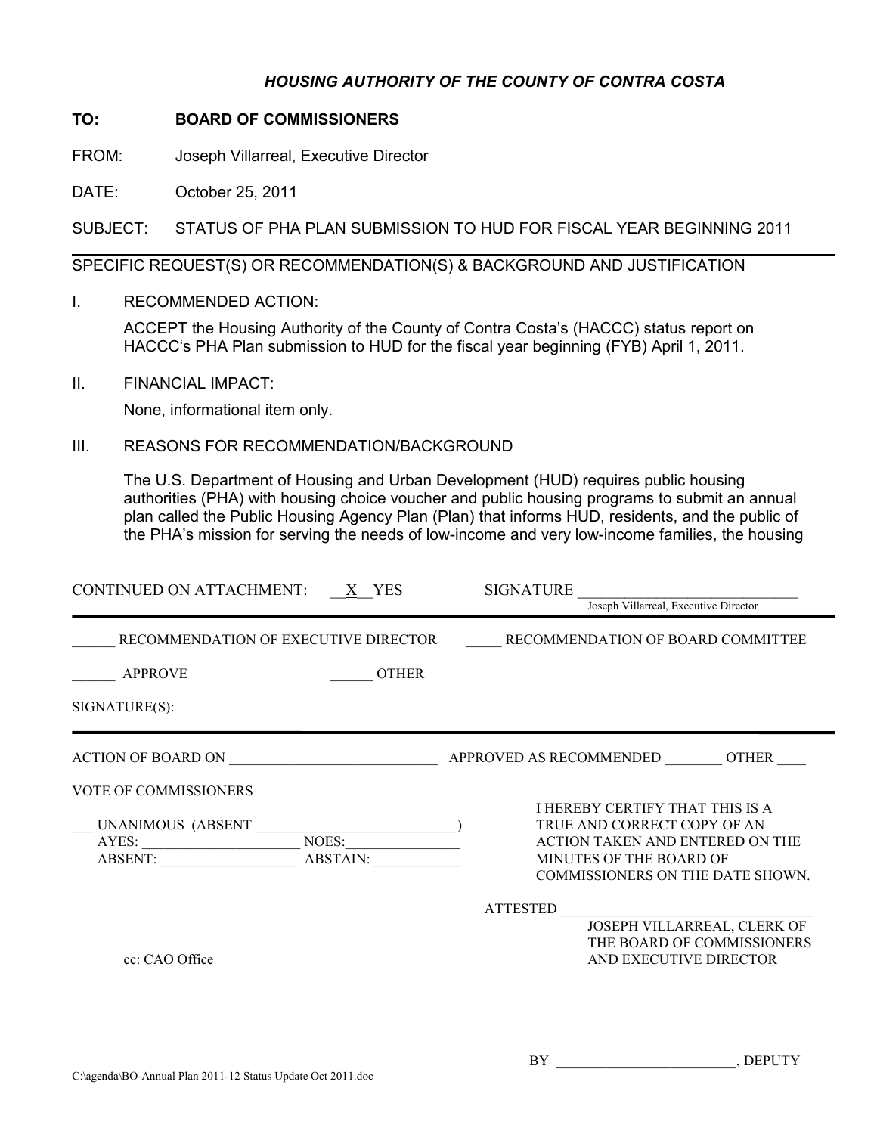## *HOUSING AUTHORITY OF THE COUNTY OF CONTRA COSTA*

## **TO: BOARD OF COMMISSIONERS**

FROM: Joseph Villarreal, Executive Director

DATE: October 25, 2011

SUBJECT: STATUS OF PHA PLAN SUBMISSION TO HUD FOR FISCAL YEAR BEGINNING 2011

## SPECIFIC REQUEST(S) OR RECOMMENDATION(S) & BACKGROUND AND JUSTIFICATION

I. RECOMMENDED ACTION:

ACCEPT the Housing Authority of the County of Contra Costa's (HACCC) status report on HACCC's PHA Plan submission to HUD for the fiscal year beginning (FYB) April 1, 2011.

II. FINANCIAL IMPACT:

None, informational item only.

III. REASONS FOR RECOMMENDATION/BACKGROUND

The U.S. Department of Housing and Urban Development (HUD) requires public housing authorities (PHA) with housing choice voucher and public housing programs to submit an annual plan called the Public Housing Agency Plan (Plan) that informs HUD, residents, and the public of the PHA's mission for serving the needs of low-income and very low-income families, the housing

| CONTINUED ON ATTACHMENT: $X$ YES                            | <b>SIGNATURE</b><br>Joseph Villarreal, Executive Director                                                                                                        |
|-------------------------------------------------------------|------------------------------------------------------------------------------------------------------------------------------------------------------------------|
|                                                             |                                                                                                                                                                  |
| RECOMMENDATION OF EXECUTIVE DIRECTOR                        | RECOMMENDATION OF BOARD COMMITTEE                                                                                                                                |
| <b>APPROVE</b>                                              | <b>OTHER</b>                                                                                                                                                     |
| SIGNATURE(S):                                               |                                                                                                                                                                  |
|                                                             |                                                                                                                                                                  |
| VOTE OF COMMISSIONERS<br>AYES: NOES:<br>ABSTAIN:<br>ABSENT: | I HEREBY CERTIFY THAT THIS IS A<br>TRUE AND CORRECT COPY OF AN<br>ACTION TAKEN AND ENTERED ON THE<br>MINUTES OF THE BOARD OF<br>COMMISSIONERS ON THE DATE SHOWN. |
| cc: CAO Office                                              | ATTESTED<br>JOSEPH VILLARREAL, CLERK OF<br>THE BOARD OF COMMISSIONERS<br>AND EXECUTIVE DIRECTOR                                                                  |
|                                                             |                                                                                                                                                                  |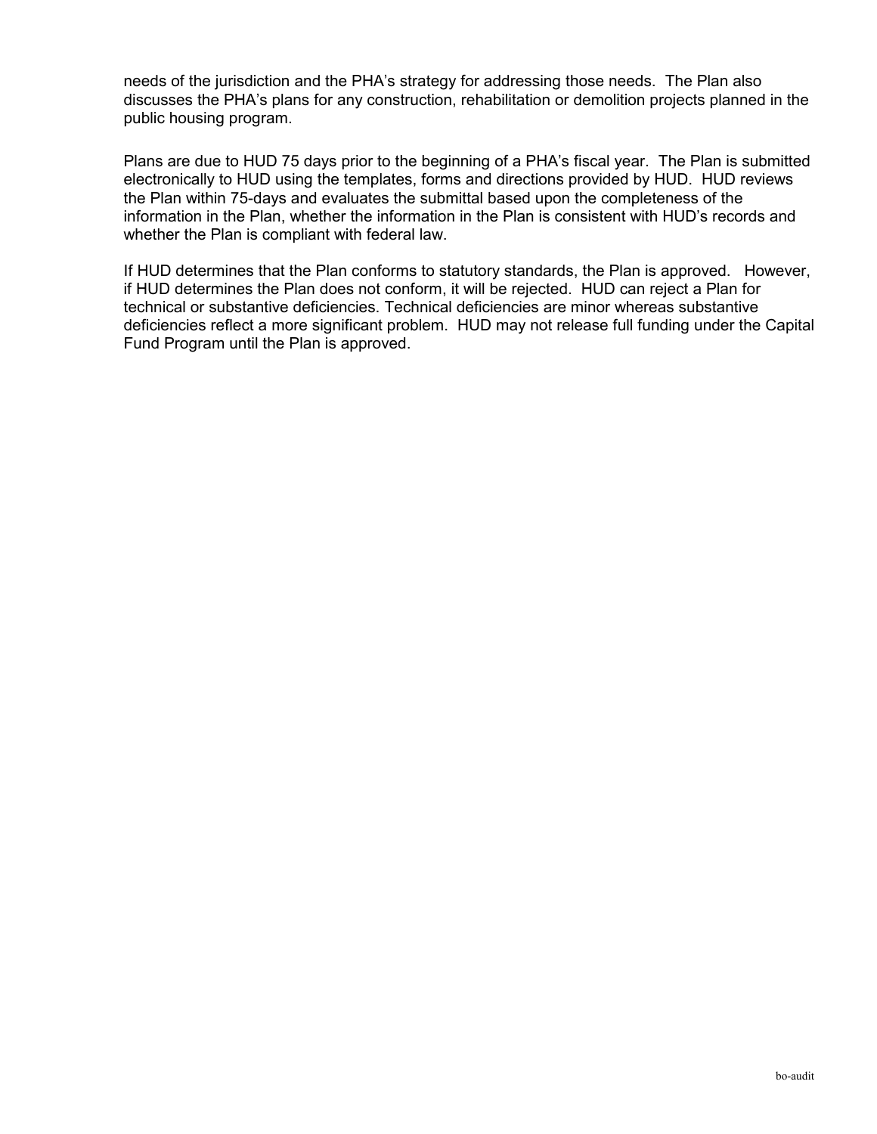needs of the jurisdiction and the PHA's strategy for addressing those needs. The Plan also discusses the PHA's plans for any construction, rehabilitation or demolition projects planned in the public housing program.

Plans are due to HUD 75 days prior to the beginning of a PHA's fiscal year. The Plan is submitted electronically to HUD using the templates, forms and directions provided by HUD. HUD reviews the Plan within 75-days and evaluates the submittal based upon the completeness of the information in the Plan, whether the information in the Plan is consistent with HUD's records and whether the Plan is compliant with federal law.

If HUD determines that the Plan conforms to statutory standards, the Plan is approved. However, if HUD determines the Plan does not conform, it will be rejected. HUD can reject a Plan for technical or substantive deficiencies. Technical deficiencies are minor whereas substantive deficiencies reflect a more significant problem. HUD may not release full funding under the Capital Fund Program until the Plan is approved.